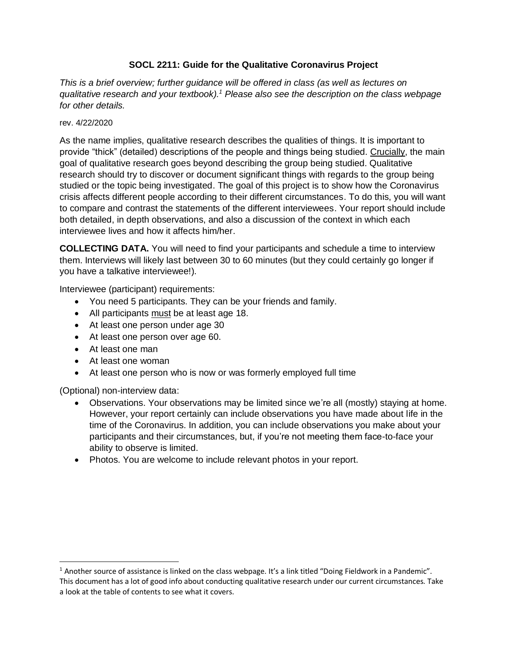# **SOCL 2211: Guide for the Qualitative Coronavirus Project**

*This is a brief overview; further guidance will be offered in class (as well as lectures on qualitative research and your textbook).<sup>1</sup> Please also see the description on the class webpage for other details.*

#### rev. 4/22/2020

As the name implies, qualitative research describes the qualities of things. It is important to provide "thick" (detailed) descriptions of the people and things being studied. Crucially, the main goal of qualitative research goes beyond describing the group being studied. Qualitative research should try to discover or document significant things with regards to the group being studied or the topic being investigated. The goal of this project is to show how the Coronavirus crisis affects different people according to their different circumstances. To do this, you will want to compare and contrast the statements of the different interviewees. Your report should include both detailed, in depth observations, and also a discussion of the context in which each interviewee lives and how it affects him/her.

**COLLECTING DATA.** You will need to find your participants and schedule a time to interview them. Interviews will likely last between 30 to 60 minutes (but they could certainly go longer if you have a talkative interviewee!).

Interviewee (participant) requirements:

- You need 5 participants. They can be your friends and family.
- All participants must be at least age 18.
- At least one person under age 30
- At least one person over age 60.
- At least one man
- At least one woman
- At least one person who is now or was formerly employed full time

(Optional) non-interview data:

 $\overline{a}$ 

- Observations. Your observations may be limited since we're all (mostly) staying at home. However, your report certainly can include observations you have made about life in the time of the Coronavirus. In addition, you can include observations you make about your participants and their circumstances, but, if you're not meeting them face-to-face your ability to observe is limited.
- Photos. You are welcome to include relevant photos in your report.

<sup>&</sup>lt;sup>1</sup> Another source of assistance is linked on the class webpage. It's a link titled "Doing Fieldwork in a Pandemic". This document has a lot of good info about conducting qualitative research under our current circumstances. Take a look at the table of contents to see what it covers.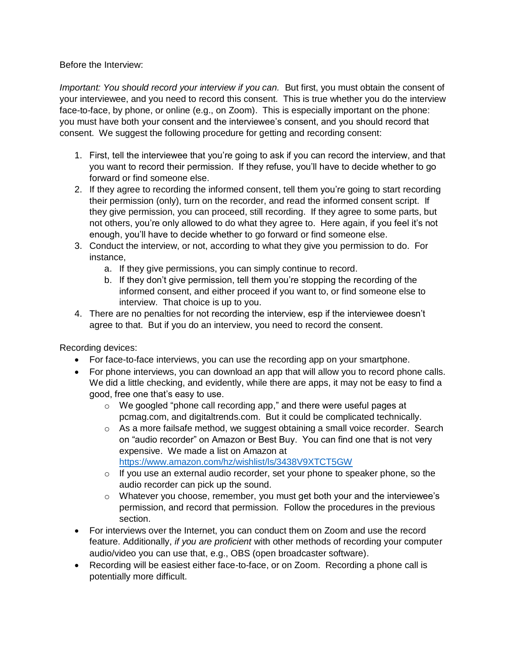Before the Interview:

*Important: You should record your interview if you can.* But first, you must obtain the consent of your interviewee, and you need to record this consent. This is true whether you do the interview face-to-face, by phone, or online (e.g., on Zoom). This is especially important on the phone: you must have both your consent and the interviewee's consent, and you should record that consent. We suggest the following procedure for getting and recording consent:

- 1. First, tell the interviewee that you're going to ask if you can record the interview, and that you want to record their permission. If they refuse, you'll have to decide whether to go forward or find someone else.
- 2. If they agree to recording the informed consent, tell them you're going to start recording their permission (only), turn on the recorder, and read the informed consent script. If they give permission, you can proceed, still recording. If they agree to some parts, but not others, you're only allowed to do what they agree to. Here again, if you feel it's not enough, you'll have to decide whether to go forward or find someone else.
- 3. Conduct the interview, or not, according to what they give you permission to do. For instance,
	- a. If they give permissions, you can simply continue to record.
	- b. If they don't give permission, tell them you're stopping the recording of the informed consent, and either proceed if you want to, or find someone else to interview. That choice is up to you.
- 4. There are no penalties for not recording the interview, esp if the interviewee doesn't agree to that. But if you do an interview, you need to record the consent.

Recording devices:

- For face-to-face interviews, you can use the recording app on your smartphone.
- For phone interviews, you can download an app that will allow you to record phone calls. We did a little checking, and evidently, while there are apps, it may not be easy to find a good, free one that's easy to use.
	- o We googled "phone call recording app," and there were useful pages at pcmag.com, and digitaltrends.com. But it could be complicated technically.
	- o As a more failsafe method, we suggest obtaining a small voice recorder. Search on "audio recorder" on Amazon or Best Buy. You can find one that is not very expensive. We made a list on Amazon at <https://www.amazon.com/hz/wishlist/ls/3438V9XTCT5GW>
	- o If you use an external audio recorder, set your phone to speaker phone, so the audio recorder can pick up the sound.
	- o Whatever you choose, remember, you must get both your and the interviewee's permission, and record that permission. Follow the procedures in the previous section.
- For interviews over the Internet, you can conduct them on Zoom and use the record feature. Additionally, *if you are proficient* with other methods of recording your computer audio/video you can use that, e.g., OBS (open broadcaster software).
- Recording will be easiest either face-to-face, or on Zoom. Recording a phone call is potentially more difficult.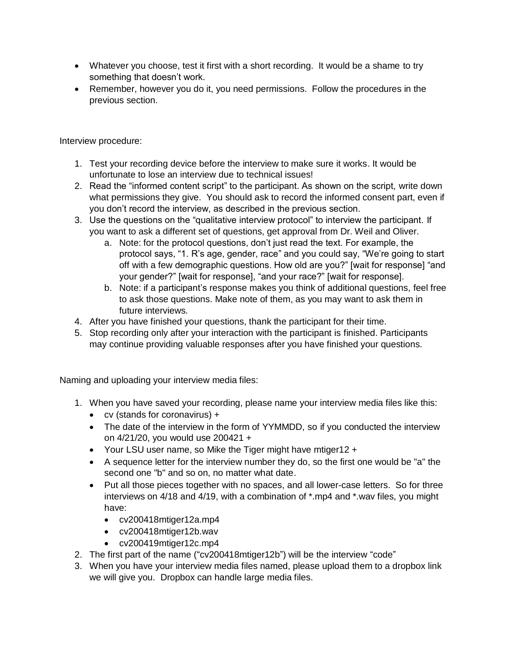- Whatever you choose, test it first with a short recording. It would be a shame to try something that doesn't work.
- Remember, however you do it, you need permissions. Follow the procedures in the previous section.

Interview procedure:

- 1. Test your recording device before the interview to make sure it works. It would be unfortunate to lose an interview due to technical issues!
- 2. Read the "informed content script" to the participant. As shown on the script, write down what permissions they give. You should ask to record the informed consent part, even if you don't record the interview, as described in the previous section.
- 3. Use the questions on the "qualitative interview protocol" to interview the participant. If you want to ask a different set of questions, get approval from Dr. Weil and Oliver.
	- a. Note: for the protocol questions, don't just read the text. For example, the protocol says, "1. R's age, gender, race" and you could say, "We're going to start off with a few demographic questions. How old are you?" [wait for response] "and your gender?" [wait for response], "and your race?" [wait for response].
	- b. Note: if a participant's response makes you think of additional questions, feel free to ask those questions. Make note of them, as you may want to ask them in future interviews.
- 4. After you have finished your questions, thank the participant for their time.
- 5. Stop recording only after your interaction with the participant is finished. Participants may continue providing valuable responses after you have finished your questions.

Naming and uploading your interview media files:

- 1. When you have saved your recording, please name your interview media files like this:
	- cv (stands for coronavirus) +
	- The date of the interview in the form of YYMMDD, so if you conducted the interview on 4/21/20, you would use 200421 +
	- Your LSU user name, so Mike the Tiger might have mtiger12 +
	- A sequence letter for the interview number they do, so the first one would be "a" the second one "b" and so on, no matter what date.
	- Put all those pieces together with no spaces, and all lower-case letters. So for three interviews on 4/18 and 4/19, with a combination of \*.mp4 and \*.wav files, you might have:
		- cv200418mtiger12a.mp4
		- cv200418mtiger12b.wav
		- cv200419mtiger12c.mp4
- 2. The first part of the name ("cv200418mtiger12b") will be the interview "code"
- 3. When you have your interview media files named, please upload them to a dropbox link we will give you. Dropbox can handle large media files.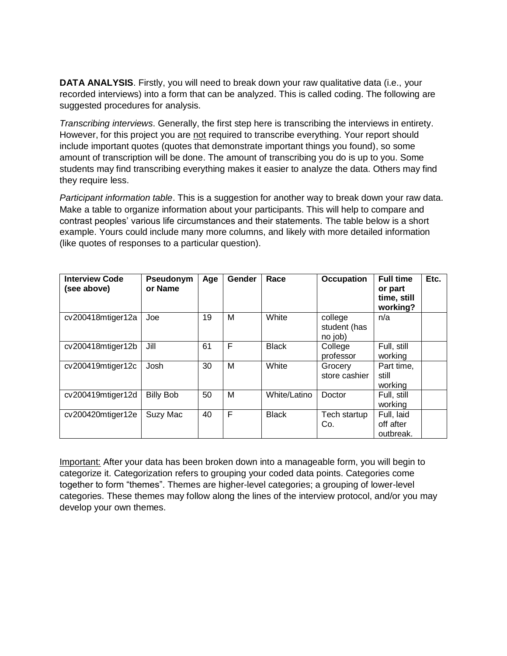**DATA ANALYSIS**. Firstly, you will need to break down your raw qualitative data (i.e., your recorded interviews) into a form that can be analyzed. This is called coding. The following are suggested procedures for analysis.

*Transcribing interviews*. Generally, the first step here is transcribing the interviews in entirety. However, for this project you are not required to transcribe everything. Your report should include important quotes (quotes that demonstrate important things you found), so some amount of transcription will be done. The amount of transcribing you do is up to you. Some students may find transcribing everything makes it easier to analyze the data. Others may find they require less.

*Participant information table*. This is a suggestion for another way to break down your raw data. Make a table to organize information about your participants. This will help to compare and contrast peoples' various life circumstances and their statements. The table below is a short example. Yours could include many more columns, and likely with more detailed information (like quotes of responses to a particular question).

| <b>Interview Code</b><br>(see above) | Pseudonym<br>or Name | Age | Gender | Race         | <b>Occupation</b>                  | <b>Full time</b><br>or part<br>time, still<br>working? | Etc. |
|--------------------------------------|----------------------|-----|--------|--------------|------------------------------------|--------------------------------------------------------|------|
| cv200418mtiger12a                    | Joe                  | 19  | м      | White        | college<br>student (has<br>no job) | n/a                                                    |      |
| cv200418mtiger12b                    | Jill                 | 61  | F      | <b>Black</b> | College<br>professor               | Full, still<br>working                                 |      |
| cv200419mtiger12c                    | Josh                 | 30  | M      | White        | Grocery<br>store cashier           | Part time.<br>still<br>working                         |      |
| cv200419mtiger12d                    | <b>Billy Bob</b>     | 50  | м      | White/Latino | Doctor                             | Full, still<br>working                                 |      |
| cv200420mtiger12e                    | Suzy Mac             | 40  | F      | <b>Black</b> | Tech startup<br>Co.                | Full, laid<br>off after<br>outbreak.                   |      |

Important: After your data has been broken down into a manageable form, you will begin to categorize it. Categorization refers to grouping your coded data points. Categories come together to form "themes". Themes are higher-level categories; a grouping of lower-level categories. These themes may follow along the lines of the interview protocol, and/or you may develop your own themes.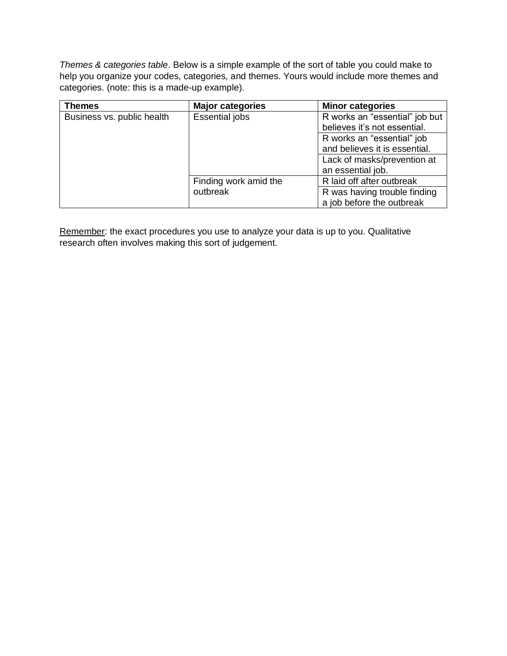*Themes & categories table*. Below is a simple example of the sort of table you could make to help you organize your codes, categories, and themes. Yours would include more themes and categories. (note: this is a made-up example).

| <b>Themes</b>              | <b>Major categories</b> | <b>Minor categories</b>        |  |
|----------------------------|-------------------------|--------------------------------|--|
| Business vs. public health | <b>Essential jobs</b>   | R works an "essential" job but |  |
|                            |                         | believes it's not essential.   |  |
|                            |                         | R works an "essential" job     |  |
|                            |                         | and believes it is essential.  |  |
|                            |                         | Lack of masks/prevention at    |  |
|                            |                         | an essential job.              |  |
|                            | Finding work amid the   | R laid off after outbreak      |  |
|                            | outbreak                | R was having trouble finding   |  |
|                            |                         | a job before the outbreak      |  |

Remember: the exact procedures you use to analyze your data is up to you. Qualitative research often involves making this sort of judgement.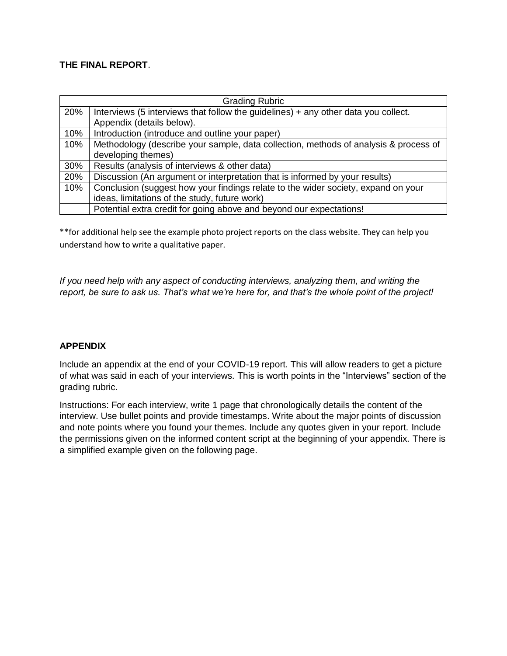# **THE FINAL REPORT**.

| <b>Grading Rubric</b> |                                                                                      |  |  |
|-----------------------|--------------------------------------------------------------------------------------|--|--|
| 20%                   | Interviews (5 interviews that follow the guidelines) + any other data you collect.   |  |  |
|                       | Appendix (details below).                                                            |  |  |
| 10%                   | Introduction (introduce and outline your paper)                                      |  |  |
| 10%                   | Methodology (describe your sample, data collection, methods of analysis & process of |  |  |
|                       | developing themes)                                                                   |  |  |
| 30%                   | Results (analysis of interviews & other data)                                        |  |  |
| 20%                   | Discussion (An argument or interpretation that is informed by your results)          |  |  |
| 10%                   | Conclusion (suggest how your findings relate to the wider society, expand on your    |  |  |
|                       | ideas, limitations of the study, future work)                                        |  |  |
|                       | Potential extra credit for going above and beyond our expectations!                  |  |  |

\*\*for additional help see the example photo project reports on the class website. They can help you understand how to write a qualitative paper.

*If you need help with any aspect of conducting interviews, analyzing them, and writing the report, be sure to ask us. That's what we're here for, and that's the whole point of the project!*

### **APPENDIX**

Include an appendix at the end of your COVID-19 report. This will allow readers to get a picture of what was said in each of your interviews. This is worth points in the "Interviews" section of the grading rubric.

Instructions: For each interview, write 1 page that chronologically details the content of the interview. Use bullet points and provide timestamps. Write about the major points of discussion and note points where you found your themes. Include any quotes given in your report. Include the permissions given on the informed content script at the beginning of your appendix. There is a simplified example given on the following page.